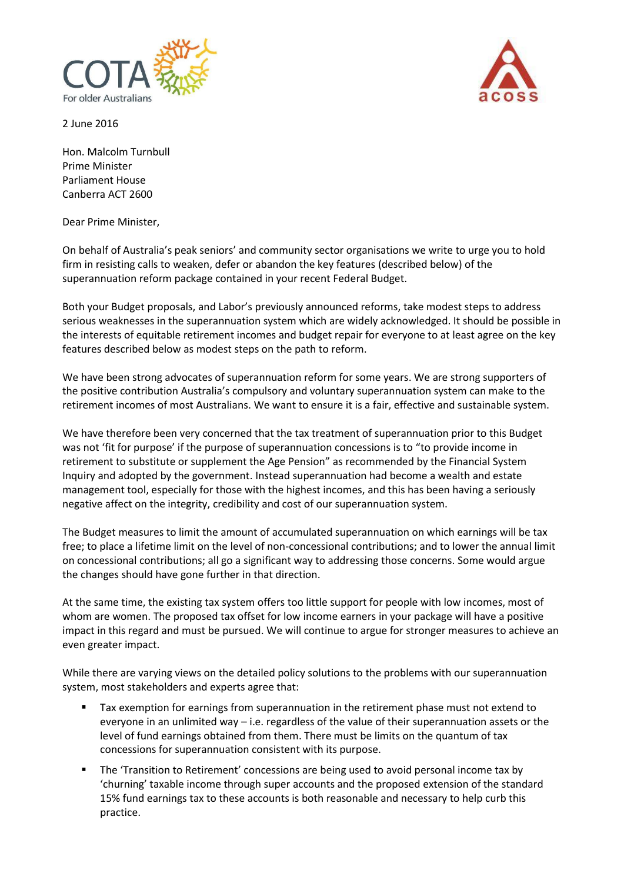

2 June 2016

Hon. Malcolm Turnbull Prime Minister Parliament House Canberra ACT 2600

Dear Prime Minister,

On behalf of Australia's peak seniors' and community sector organisations we write to urge you to hold firm in resisting calls to weaken, defer or abandon the key features (described below) of the superannuation reform package contained in your recent Federal Budget.

Both your Budget proposals, and Labor's previously announced reforms, take modest steps to address serious weaknesses in the superannuation system which are widely acknowledged. It should be possible in the interests of equitable retirement incomes and budget repair for everyone to at least agree on the key features described below as modest steps on the path to reform.

We have been strong advocates of superannuation reform for some years. We are strong supporters of the positive contribution Australia's compulsory and voluntary superannuation system can make to the retirement incomes of most Australians. We want to ensure it is a fair, effective and sustainable system.

We have therefore been very concerned that the tax treatment of superannuation prior to this Budget was not 'fit for purpose' if the purpose of superannuation concessions is to "to provide income in retirement to substitute or supplement the Age Pension" as recommended by the Financial System Inquiry and adopted by the government. Instead superannuation had become a wealth and estate management tool, especially for those with the highest incomes, and this has been having a seriously negative affect on the integrity, credibility and cost of our superannuation system.

The Budget measures to limit the amount of accumulated superannuation on which earnings will be tax free; to place a lifetime limit on the level of non-concessional contributions; and to lower the annual limit on concessional contributions; all go a significant way to addressing those concerns. Some would argue the changes should have gone further in that direction.

At the same time, the existing tax system offers too little support for people with low incomes, most of whom are women. The proposed tax offset for low income earners in your package will have a positive impact in this regard and must be pursued. We will continue to argue for stronger measures to achieve an even greater impact.

While there are varying views on the detailed policy solutions to the problems with our superannuation system, most stakeholders and experts agree that:

- Tax exemption for earnings from superannuation in the retirement phase must not extend to everyone in an unlimited way  $-$  i.e. regardless of the value of their superannuation assets or the level of fund earnings obtained from them. There must be limits on the quantum of tax concessions for superannuation consistent with its purpose.
- The 'Transition to Retirement' concessions are being used to avoid personal income tax by 'churning' taxable income through super accounts and the proposed extension of the standard 15% fund earnings tax to these accounts is both reasonable and necessary to help curb this practice.

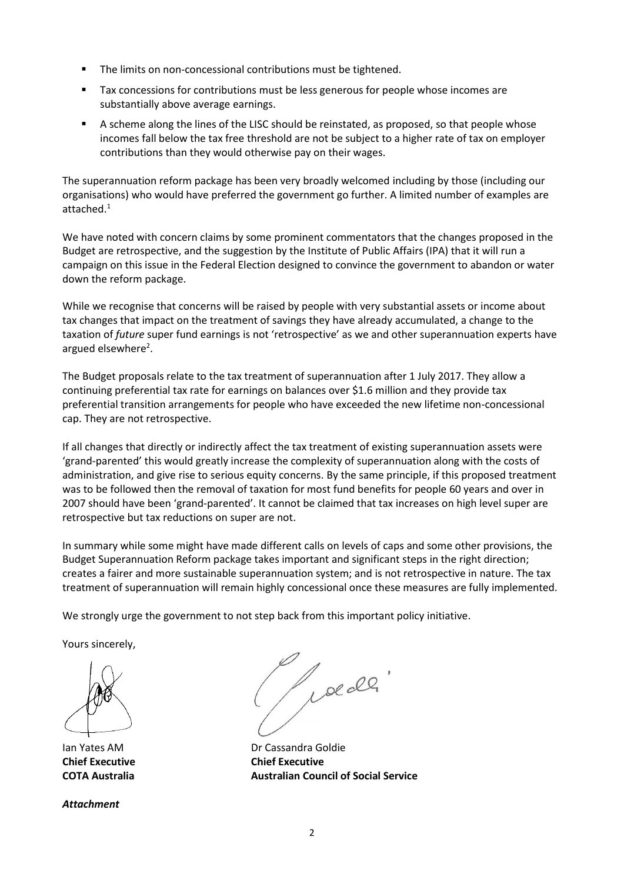- The limits on non-concessional contributions must be tightened.
- Tax concessions for contributions must be less generous for people whose incomes are substantially above average earnings.
- A scheme along the lines of the LISC should be reinstated, as proposed, so that people whose incomes fall below the tax free threshold are not be subject to a higher rate of tax on employer contributions than they would otherwise pay on their wages.

The superannuation reform package has been very broadly welcomed including by those (including our organisations) who would have preferred the government go further. A limited number of examples are attached. 1

We have noted with concern claims by some prominent commentators that the changes proposed in the Budget are retrospective, and the suggestion by the Institute of Public Affairs (IPA) that it will run a campaign on this issue in the Federal Election designed to convince the government to abandon or water down the reform package.

While we recognise that concerns will be raised by people with very substantial assets or income about tax changes that impact on the treatment of savings they have already accumulated, a change to the taxation of *future* super fund earnings is not 'retrospective' as we and other superannuation experts have argued elsewhere<sup>2</sup>.

The Budget proposals relate to the tax treatment of superannuation after 1 July 2017. They allow a continuing preferential tax rate for earnings on balances over \$1.6 million and they provide tax preferential transition arrangements for people who have exceeded the new lifetime non-concessional cap. They are not retrospective.

If all changes that directly or indirectly affect the tax treatment of existing superannuation assets were 'grand-parented' this would greatly increase the complexity of superannuation along with the costs of administration, and give rise to serious equity concerns. By the same principle, if this proposed treatment was to be followed then the removal of taxation for most fund benefits for people 60 years and over in 2007 should have been 'grand-parented'. It cannot be claimed that tax increases on high level super are retrospective but tax reductions on super are not.

In summary while some might have made different calls on levels of caps and some other provisions, the Budget Superannuation Reform package takes important and significant steps in the right direction; creates a fairer and more sustainable superannuation system; and is not retrospective in nature. The tax treatment of superannuation will remain highly concessional once these measures are fully implemented.

We strongly urge the government to not step back from this important policy initiative.

Yours sincerely,

**Chief Executive Chief Executive**

*Attachment*

le de

Ian Yates AM Dr Cassandra Goldie **COTA Australia Australian Council of Social Service**